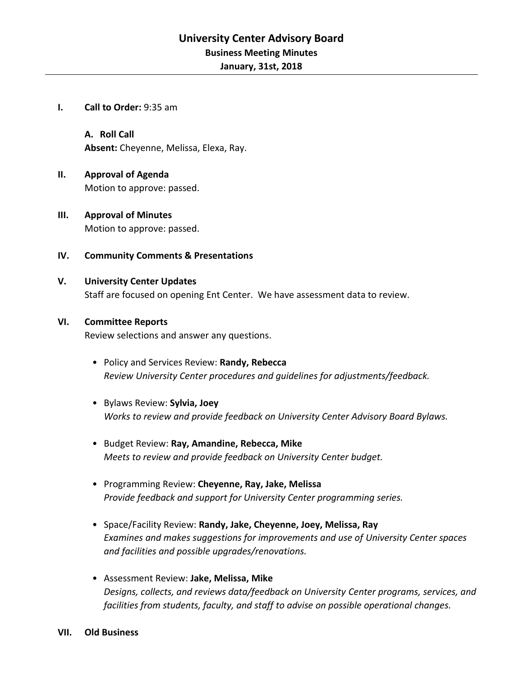**I. Call to Order:** 9:35 am

**A. Roll Call Absent:** Cheyenne, Melissa, Elexa, Ray.

- **II. Approval of Agenda** Motion to approve: passed.
- **III. Approval of Minutes** Motion to approve: passed.
- **IV. Community Comments & Presentations**

### **V. University Center Updates**

Staff are focused on opening Ent Center. We have assessment data to review.

#### **VI. Committee Reports**

Review selections and answer any questions.

- Policy and Services Review: **Randy, Rebecca** *Review University Center procedures and guidelines for adjustments/feedback.*
- Bylaws Review: **Sylvia, Joey** *Works to review and provide feedback on University Center Advisory Board Bylaws.*
- Budget Review: **Ray, Amandine, Rebecca, Mike** *Meets to review and provide feedback on University Center budget.*
- Programming Review: **Cheyenne, Ray, Jake, Melissa** *Provide feedback and support for University Center programming series.*
- Space/Facility Review: **Randy, Jake, Cheyenne, Joey, Melissa, Ray** *Examines and makes suggestions for improvements and use of University Center spaces and facilities and possible upgrades/renovations.*
- Assessment Review: **Jake, Melissa, Mike** *Designs, collects, and reviews data/feedback on University Center programs, services, and facilities from students, faculty, and staff to advise on possible operational changes.*